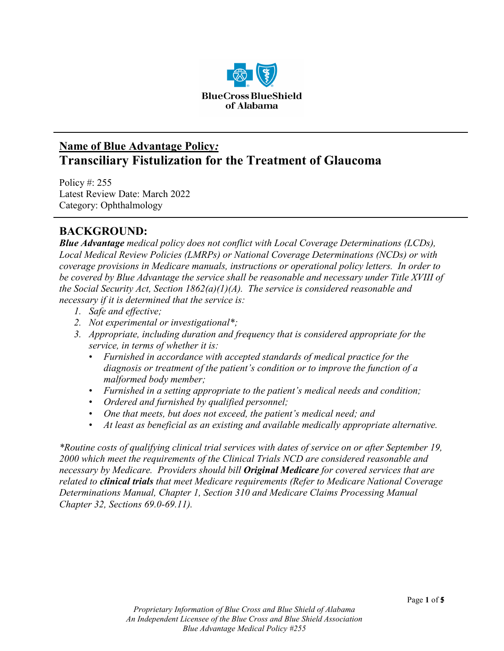

# **Name of Blue Advantage Policy***:* **Transciliary Fistulization for the Treatment of Glaucoma**

Policy #: 255 Latest Review Date: March 2022 Category: Ophthalmology

## **BACKGROUND:**

*Blue Advantage medical policy does not conflict with Local Coverage Determinations (LCDs), Local Medical Review Policies (LMRPs) or National Coverage Determinations (NCDs) or with coverage provisions in Medicare manuals, instructions or operational policy letters. In order to be covered by Blue Advantage the service shall be reasonable and necessary under Title XVIII of the Social Security Act, Section 1862(a)(1)(A). The service is considered reasonable and necessary if it is determined that the service is:*

- *1. Safe and effective;*
- *2. Not experimental or investigational\*;*
- *3. Appropriate, including duration and frequency that is considered appropriate for the service, in terms of whether it is:*
	- *Furnished in accordance with accepted standards of medical practice for the diagnosis or treatment of the patient's condition or to improve the function of a malformed body member;*
	- *Furnished in a setting appropriate to the patient's medical needs and condition;*
	- *Ordered and furnished by qualified personnel;*
	- *One that meets, but does not exceed, the patient's medical need; and*
	- *At least as beneficial as an existing and available medically appropriate alternative.*

*\*Routine costs of qualifying clinical trial services with dates of service on or after September 19, 2000 which meet the requirements of the Clinical Trials NCD are considered reasonable and necessary by Medicare. Providers should bill Original Medicare for covered services that are related to clinical trials that meet Medicare requirements (Refer to Medicare National Coverage Determinations Manual, Chapter 1, Section 310 and Medicare Claims Processing Manual Chapter 32, Sections 69.0-69.11).*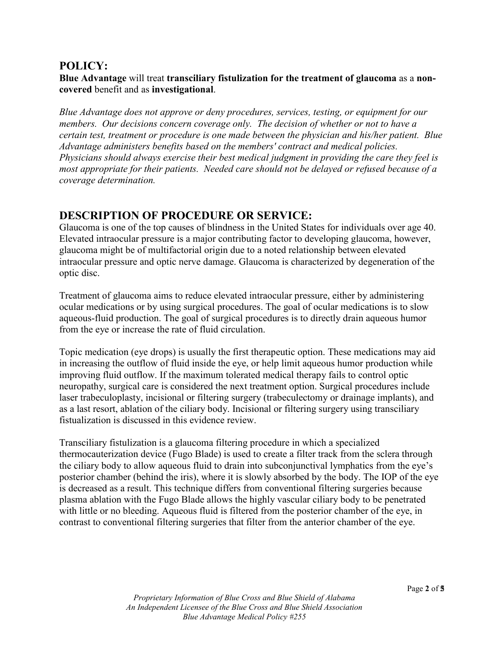### **POLICY:**

#### **Blue Advantage** will treat **transciliary fistulization for the treatment of glaucoma** as a **noncovered** benefit and as **investigational**.

*Blue Advantage does not approve or deny procedures, services, testing, or equipment for our members. Our decisions concern coverage only. The decision of whether or not to have a certain test, treatment or procedure is one made between the physician and his/her patient. Blue Advantage administers benefits based on the members' contract and medical policies. Physicians should always exercise their best medical judgment in providing the care they feel is most appropriate for their patients. Needed care should not be delayed or refused because of a coverage determination.*

### **DESCRIPTION OF PROCEDURE OR SERVICE:**

Glaucoma is one of the top causes of blindness in the United States for individuals over age 40. Elevated intraocular pressure is a major contributing factor to developing glaucoma, however, glaucoma might be of multifactorial origin due to a noted relationship between elevated intraocular pressure and optic nerve damage. Glaucoma is characterized by degeneration of the optic disc.

Treatment of glaucoma aims to reduce elevated intraocular pressure, either by administering ocular medications or by using surgical procedures. The goal of ocular medications is to slow aqueous-fluid production. The goal of surgical procedures is to directly drain aqueous humor from the eye or increase the rate of fluid circulation.

Topic medication (eye drops) is usually the first therapeutic option. These medications may aid in increasing the outflow of fluid inside the eye, or help limit aqueous humor production while improving fluid outflow. If the maximum tolerated medical therapy fails to control optic neuropathy, surgical care is considered the next treatment option. Surgical procedures include laser trabeculoplasty, incisional or filtering surgery (trabeculectomy or drainage implants), and as a last resort, ablation of the ciliary body. Incisional or filtering surgery using transciliary fistualization is discussed in this evidence review.

Transciliary fistulization is a glaucoma filtering procedure in which a specialized thermocauterization device (Fugo Blade) is used to create a filter track from the sclera through the ciliary body to allow aqueous fluid to drain into subconjunctival lymphatics from the eye's posterior chamber (behind the iris), where it is slowly absorbed by the body. The IOP of the eye is decreased as a result. This technique differs from conventional filtering surgeries because plasma ablation with the Fugo Blade allows the highly vascular ciliary body to be penetrated with little or no bleeding. Aqueous fluid is filtered from the posterior chamber of the eye, in contrast to conventional filtering surgeries that filter from the anterior chamber of the eye.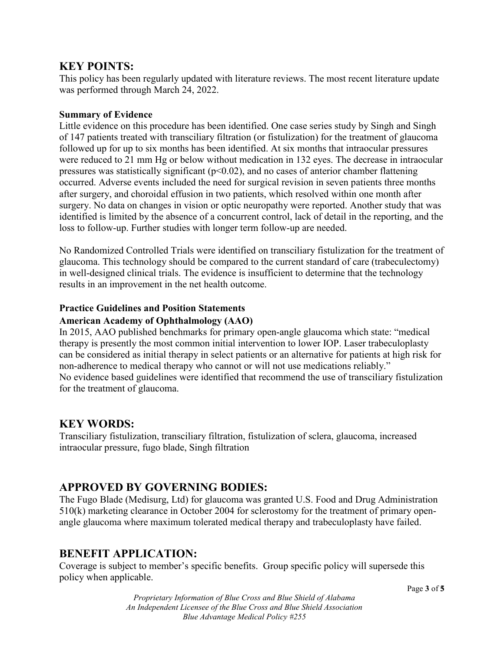### **KEY POINTS:**

This policy has been regularly updated with literature reviews. The most recent literature update was performed through March 24, 2022.

#### **Summary of Evidence**

Little evidence on this procedure has been identified. One case series study by Singh and Singh of 147 patients treated with transciliary filtration (or fistulization) for the treatment of glaucoma followed up for up to six months has been identified. At six months that intraocular pressures were reduced to 21 mm Hg or below without medication in 132 eyes. The decrease in intraocular pressures was statistically significant ( $p<0.02$ ), and no cases of anterior chamber flattening occurred. Adverse events included the need for surgical revision in seven patients three months after surgery, and choroidal effusion in two patients, which resolved within one month after surgery. No data on changes in vision or optic neuropathy were reported. Another study that was identified is limited by the absence of a concurrent control, lack of detail in the reporting, and the loss to follow-up. Further studies with longer term follow-up are needed.

No Randomized Controlled Trials were identified on transciliary fistulization for the treatment of glaucoma. This technology should be compared to the current standard of care (trabeculectomy) in well-designed clinical trials. The evidence is insufficient to determine that the technology results in an improvement in the net health outcome.

#### **Practice Guidelines and Position Statements**

#### **American Academy of Ophthalmology (AAO)**

In 2015, AAO published benchmarks for primary open-angle glaucoma which state: "medical therapy is presently the most common initial intervention to lower IOP. Laser trabeculoplasty can be considered as initial therapy in select patients or an alternative for patients at high risk for non-adherence to medical therapy who cannot or will not use medications reliably." No evidence based guidelines were identified that recommend the use of transciliary fistulization for the treatment of glaucoma.

### **KEY WORDS:**

Transciliary fistulization, transciliary filtration, fistulization of sclera, glaucoma, increased intraocular pressure, fugo blade, Singh filtration

### **APPROVED BY GOVERNING BODIES:**

The Fugo Blade (Medisurg, Ltd) for glaucoma was granted U.S. Food and Drug Administration 510(k) marketing clearance in October 2004 for sclerostomy for the treatment of primary openangle glaucoma where maximum tolerated medical therapy and trabeculoplasty have failed.

### **BENEFIT APPLICATION:**

Coverage is subject to member's specific benefits. Group specific policy will supersede this policy when applicable.

*Proprietary Information of Blue Cross and Blue Shield of Alabama An Independent Licensee of the Blue Cross and Blue Shield Association Blue Advantage Medical Policy #255*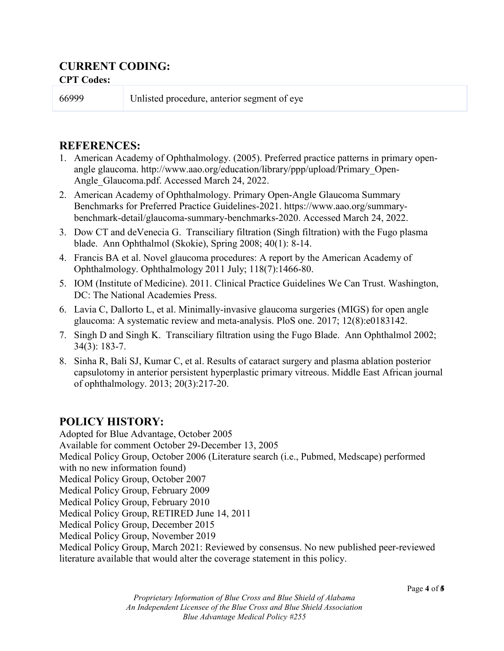# **CURRENT CODING:**

#### **CPT Codes:**

66999 Unlisted procedure, anterior segment of eye

### **REFERENCES:**

- 1. American Academy of Ophthalmology. (2005). Preferred practice patterns in primary openangle glaucoma. http://www.aao.org/education/library/ppp/upload/Primary\_Open-Angle Glaucoma.pdf. Accessed March 24, 2022.
- 2. American Academy of Ophthalmology. Primary Open-Angle Glaucoma Summary Benchmarks for Preferred Practice Guidelines-2021. https://www.aao.org/summarybenchmark-detail/glaucoma-summary-benchmarks-2020. Accessed March 24, 2022.
- 3. Dow CT and deVenecia G. Transciliary filtration (Singh filtration) with the Fugo plasma blade. Ann Ophthalmol (Skokie), Spring 2008; 40(1): 8-14.
- 4. Francis BA et al. Novel glaucoma procedures: A report by the American Academy of Ophthalmology. Ophthalmology 2011 July; 118(7):1466-80.
- 5. IOM (Institute of Medicine). 2011. Clinical Practice Guidelines We Can Trust. Washington, DC: The National Academies Press.
- 6. Lavia C, Dallorto L, et al. Minimally-invasive glaucoma surgeries (MIGS) for open angle glaucoma: A systematic review and meta-analysis. PloS one. 2017; 12(8):e0183142.
- 7. Singh D and Singh K. Transciliary filtration using the Fugo Blade. Ann Ophthalmol 2002; 34(3): 183-7.
- 8. Sinha R, Bali SJ, Kumar C, et al. Results of cataract surgery and plasma ablation posterior capsulotomy in anterior persistent hyperplastic primary vitreous. Middle East African journal of ophthalmology. 2013; 20(3):217-20.

# **POLICY HISTORY:**

Adopted for Blue Advantage, October 2005 Available for comment October 29-December 13, 2005 Medical Policy Group, October 2006 (Literature search (i.e., Pubmed, Medscape) performed with no new information found) Medical Policy Group, October 2007 Medical Policy Group, February 2009 Medical Policy Group, February 2010 Medical Policy Group, RETIRED June 14, 2011 Medical Policy Group, December 2015 Medical Policy Group, November 2019 Medical Policy Group, March 2021: Reviewed by consensus. No new published peer-reviewed literature available that would alter the coverage statement in this policy.